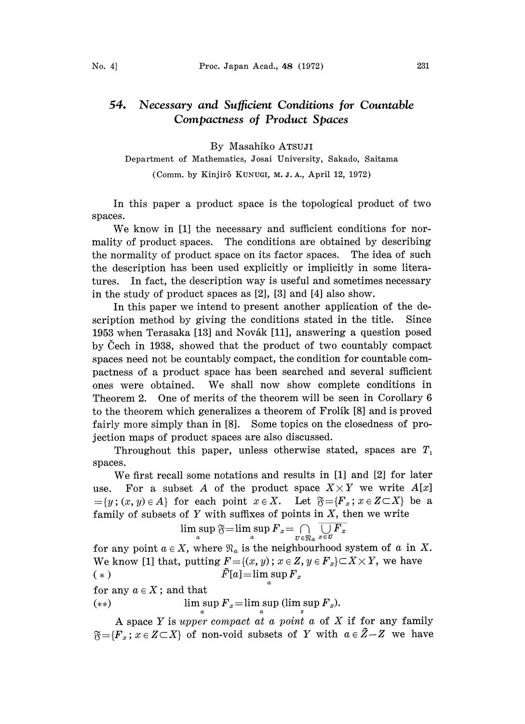## 54. Necessary and Sufficient Conditions for Countable Compactness of Product Spaces

By Masahiko ATsuJI

Department of Mathematics, Josai University, Sakado, Saitama (Comm. by Kinjir6 KUNUGI, M. J. A., April 12, 1972)

In this paper a product space is the topological product of two spaces.

We know in [1] the necessary and sufficient conditions for normality of product spaces. The conditions are obtained by describing the normality of product space on its factor spaces. The idea of such the description has been used explicitly or implicitly in some literatures. In fact, the description way is useful and sometimes necessary in the study of product spaces as [2], [3] and [4] also show.

In this paper we intend to present another application of the description method by giving the conditions stated in the title. Since 1953 when Terasaka [13] and Novák [11], answering a question posed by Cech in 1938, showed that the product of two countably compact spaces need not be countably compact, the condition for countable compactness of a product space has been searched and several sufficient ones were obtained. We shall now show complete conditions in Theorem 2. One of merits of the theorem will be seen in Corollary 6 to the theorem which generalizes a theorem of Frolik [8] and is proved fairly more simply than in [8]. Some topics on the closedness of projection maps of product spaces are also discussed.

Throughout this paper, unless otherwise stated, spaces are  $T_1$ spaces.

We first recall some notations and results in [1] and [2] for later use. For a subset A of the product space  $X \times Y$  we write  $A[x]$  ${y; (x, y) \in A}$  for each point  $x \in X$ . Let  $\mathfrak{F} = {F_x; x \in Z \subset X}$  be a family of subsets of  $Y$  with suffixes of points in  $X$ , then we write

$$
\limsup_{a} \overline{\mathfrak{F}} = \limsup_{a} F_{x} = \bigcap_{U \in \mathfrak{N}_{a}} \overline{\bigcup_{x \in U} F_{x}}
$$

for any point  $a \in X$ , where  $\mathfrak{N}_a$  is the neighbourhood system of a in X. We know [1] that, putting  $F = \{(x, y) : x \in Z, y \in F_x\} \subset X \times Y$ , we have (\*)  $\bar{F}[a] = \limsup_{a} F_x$ for any  $a \in X$ ; and that

$$
(**)\qquad \qquad \text{lim sup }F_x=\text{lim sup (lim sup }F_x).
$$

A space Y is upper compact at a point a of X if for any family  $\mathfrak{F} = \{F_x \colon x \in Z \subset X\}$  of non-void subsets of Y with  $a \in \bar{Z} - Z$  we have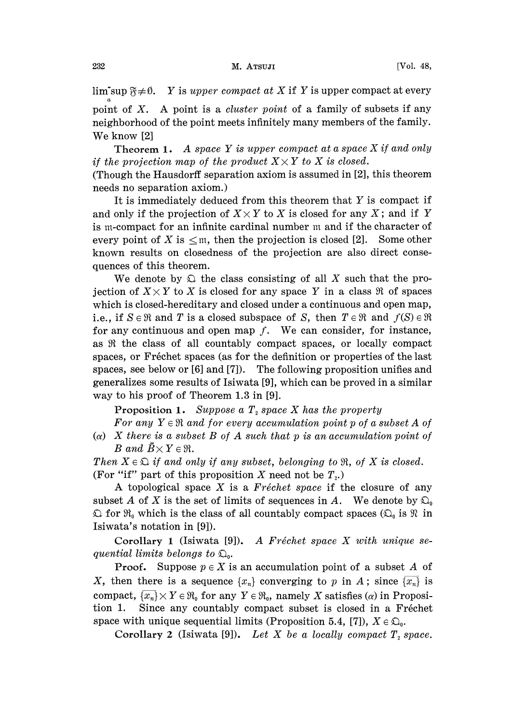$\limsup_{x \to \infty}$   $\mathfrak{F} \neq \emptyset$ . Y is upper compact at X if Y is upper compact at every

point of  $X$ . A point is a *cluster point* of a family of subsets if any neighborhood of the point meets infinitely many members of the family. We know [2]

**Theorem 1.** A space Y is upper compact at a space X if and only if the projection map of the product  $X \times Y$  to X is closed.

(Though the Hausdorff separation axiom is assumed in [2], this theorem needs no separation axiom.)

It is immediately deduced from this theorem that Y is compact if and only if the projection of  $X \times Y$  to X is closed for any X; and if Y is m-compact for an infinite cardinal number m and if the character of every point of X is  $\leq$ m, then the projection is closed [2]. Some other known results on closedness of the projection are also direct consequences of this theorem.

We denote by  $\Omega$  the class consisting of all X such that the projection of  $X \times Y$  to X is closed for any space Y in a class  $\Re$  of spaces which is closed-hereditary and closed under a continuous and open map, i.e., if  $S \in \mathbb{R}$  and T is a closed subspace of S, then  $T \in \mathbb{R}$  and  $f(S) \in \mathbb{R}$ for any continuous and open map  $f$ . We can consider, for instance, as  $Re$  the class of all countably compact spaces, or locally compact spaces, or Fréchet spaces (as for the definition or properties of the last spaces, see below or [6] and [7]). The following proposition unifies and generalizes some results of Isiwata [9], which can be proved in a similar way to his proof of Theorem 1.3 in [9].

Proposition 1. Suppose a  $T<sub>2</sub>$  space X has the property

For any  $Y \in \mathfrak{R}$  and for every accumulation point p of a subset A of ( $\alpha$ ) X there is a subset B of A such that p is an accumulation point of B and  $\bar{B} \times Y \in \mathfrak{R}$ .

Then  $X \in \mathfrak{D}$  if and only if any subset, belonging to  $\mathfrak{R}$ , of X is closed. (For "if" part of this proposition X need not be  $T<sub>2</sub>$ .)

A topological space X is a  $Fréchet$  space if the closure of any subset A of X is the set of limits of sequences in A. We denote by  $\mathfrak{D}_0$  $\Omega$  for  $\mathfrak{R}_0$  which is the class of all countably compact spaces  $(\Omega_0$  is  $\mathfrak{R}$  in Isiwata's notation in [9]).

Corollary 1 (Isiwata [9]). A Fréchet space X with unique sequential limits belongs to  $\mathfrak{Q}_0$ .

**Proof.** Suppose  $p \in X$  is an accumulation point of a subset A of X, then there is a sequence  $\{x_n\}$  converging to p in A; since  $\overline{\{x_n\}}$  is compact,  $\{x_n\} \times Y \in \mathfrak{R}_0$  for any  $Y \in \mathfrak{R}_0$ , namely X satisfies  $(\alpha)$  in Proposition 1. Since any countably compact subset is closed in a Fréchet Since any countably compact subset is closed in a Fréchet space with unique sequential limits (Proposition 5.4, [7]),  $X \in \mathfrak{Q}_0$ .

Corollary 2 (Isiwata [9]). Let X be a locally compact  $T<sub>2</sub> space$ .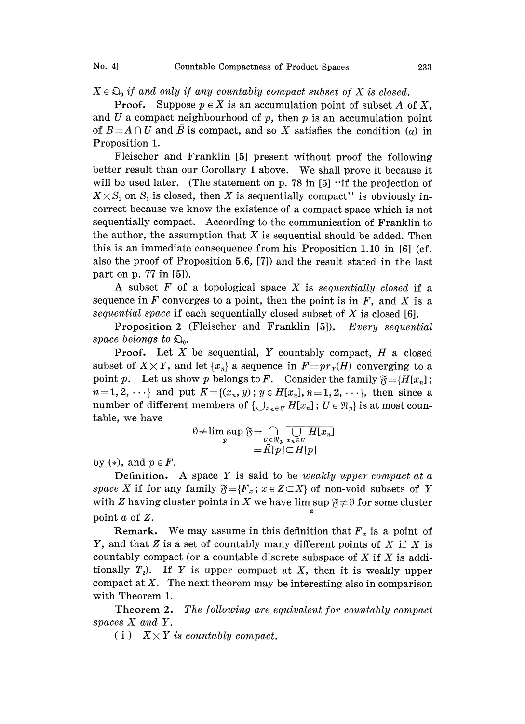$X \in \mathfrak{D}_0$  if and only if any countably compact subset of X is closed.

**Proof.** Suppose  $p \in X$  is an accumulation point of subset A of X, and U a compact neighbourhood of  $p$ , then  $p$  is an accumulation point of  $B=A\cap U$  and  $\overline{B}$  is compact, and so X satisfies the condition ( $\alpha$ ) in Proposition 1.

Fleischer and Franklin [5] present without proof the following better result than our Corollary <sup>I</sup> above. We shall prove it because it will be used later. (The statement on p. 78 in  $[5]$  "if the projection of  $X \times S_1$  on  $S_1$  is closed, then X is sequentially compact" is obviously incorrect because we know the existence of a compact space which is not sequentially compact. According to the communication of Franklin to the author, the assumption that  $X$  is sequential should be added. Then this is an immediate consequence from his Proposition 1.10 in  $[6]$  (cf. also the proof of Proposition 5.6, [7]) and the result stated in the last part on p. 77 in [5]).

A subset  $F$  of a topological space  $X$  is sequentially closed if a sequence in  $F$  converges to a point, then the point is in  $F$ , and  $X$  is a sequential space if each sequentially closed subset of  $X$  is closed [6].

Proposition 2 (Fleischer and Franklin [5]). Every sequential space belongs to  $\mathfrak{Q}_0$ .

**Proof.** Let  $X$  be sequential,  $Y$  countably compact,  $H$  a closed subset of  $X \times Y$ , and let  $\{x_n\}$  a sequence in  $F=pr_X(H)$  converging to a point p. Let us show p belongs to F. Consider the family  $\mathfrak{F} = \{H[x_n]$ ;  $n=1, 2, \dots$ } and put  $K={(x_n, y) : y \in H[x_n], n=1, 2, \dots}$ , then since a number of different members of  $\{\bigcup_{x_n\in U} H[x_n]$ ;  $U \in \mathfrak{N}_p\}$  is at most countable, we have

$$
\emptyset \neq \limsup_{p} \mathfrak{F} = \bigcap_{U \in \mathfrak{N}_p} \overline{\bigcup_{x_n \in U} H[x_n]}
$$
  
\n
$$
= \overline{K}[p] \subset H[p]
$$
  
\n
$$
\text{Definition. A space } Y \text{ is said to be weakly upper compact at a}
$$

by  $(*)$ , and  $p \in F$ .

space X if for any family  $\mathfrak{F} = \{F_x : x \in Z \subset X\}$  of non-void subsets of Y with Z having cluster points in X we have lim sup  $\mathfrak{F} \neq \emptyset$  for some cluster point  $a$  of  $Z$ .

Remark. We may assume in this definition that  $F_x$  is a point of Y, and that  $Z$  is a set of countably many different points of  $X$  if  $X$  is countably compact (or a countable discrete subspace of  $X$  if  $X$  is additionally  $T<sub>2</sub>$ ). If Y is upper compact at X, then it is weakly upper compact at  $X$ . The next theorem may be interesting also in comparison with Theorem 1.

Theorem 2. The following are equivalent for countably compact spaces X and Y.

(i)  $X \times Y$  is countably compact.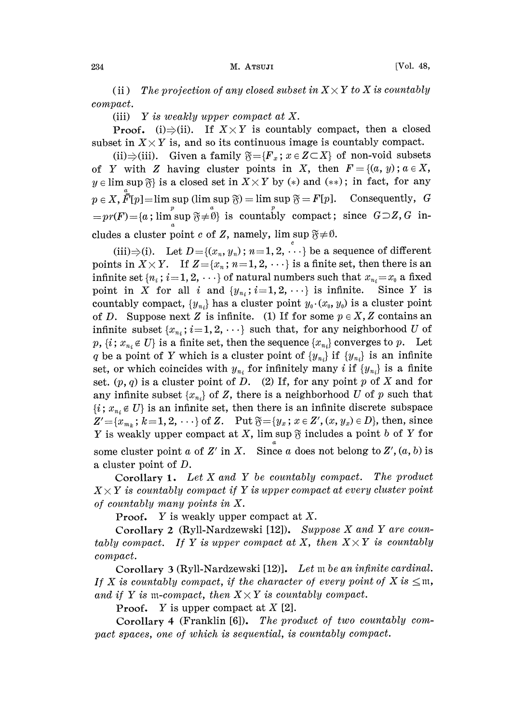(ii) The projection of any closed subset in  $X \times Y$  to X is countably compact.

(iii) Y is weakly upper compact at X.

**Proof.** (i) $\Rightarrow$ (ii). If  $X \times Y$  is countably compact, then a closed subset in  $X \times Y$  is, and so its continuous image is countably compact.

(ii) $\Rightarrow$ (iii). Given a family  $\mathfrak{F} = \{F_x : x \in Z \subset X\}$  of non-void subsets of Y with Z having cluster points in X, then  $F = \{(a, y) : a \in X,$  $y \in \limsup \mathfrak{F}$  is a closed set in  $X \times Y$  by (\*) and (\*\*); in fact, for any  $p \in X$ ,  $\overline{F}[p] = \limsup_{p} \sup_{a} \mathfrak{F} = \limsup_{a} \mathfrak{F} = F[p]$ . Consequently,  $G = pr(F) = \{a \text{; } \limsup_{a} \mathfrak{F} \neq \emptyset\}$  is countably compact; since  $G \supseteq Z$ ,  $G$  in-<br>cludes a cluster point  $c$  of  $Z$ , namely,  $\limsup_{a} \mathfrak{F} \neq \emptyset$ . cludes a cluster point  $c$  of  $Z$ , namely, lim sup  $\text{pack:} \ \mathfrak{F} \neq \emptyset.$ 

(iii) $\Rightarrow$ (i). Let  $D = \{(x_n, y_n)$ ;  $n = 1, 2, \dots\}$  be a sequence of different points in  $X \times Y$ . If  $Z = \{x_n : n = 1, 2, \dots\}$  is a finite set, then there is an infinite set  $\{n_i$ ;  $i=1, 2, \dots\}$  of natural numbers such that  $x_{n_i} = x_0$  a fixed point in X for all i and  $\{y_{n_i}; i=1, 2, \dots\}$  is infinite. Since Y is point in X for all i and  $\{y_{n_i}; i=1,2,\cdots\}$  is infinite. countably compact,  $\{y_{n_i}\}$  has a cluster point  $y_0 \cdot (x_0, y_0)$  is a cluster point of D. Suppose next Z is infinite. (1) If for some  $p \in X$ , Z contains an infinite subset  $\{x_{n_i}; i=1, 2, \cdots\}$  such that, for any neighborhood U of  $p, \{i; x_{n_i} \notin U\}$  is a finite set, then the sequence  $\{x_{n_i}\}$  converges to p. Let q be a point of Y which is a cluster point of  ${y_{n_i}}$  if  ${y_{n_i}}$  is an infinite set, or which coincides with  $y_{n_i}$  for infinitely many *i* if  $\{y_{n_i}\}$  is a finite set.  $(p, q)$  is a cluster point of D. (2) If, for any point p of X and for any infinite subset  $\{x_{n_i}\}$  of Z, there is a neighborhood U of p such that  ${i; x_{n_i} \in U}$  is an infinite set, then there is an infinite discrete subspace  $Z' = \{x_{m_k}; k=1, 2, \dots\}$  of Z. Put  $\mathfrak{F} = \{y_x; x \in Z', (x, y_x) \in D\}$ , then, since  $\mathfrak{F} = \{y_x \,;\, x \in Z', (x, y_x) \in D\}$ , then, since<br>lim sup  $\mathfrak{F}$  includes a point b of Y for<br>Since a does not belong to Z',  $(a, b)$  is Y is weakly upper compact at X, lim sup  $\mathfrak F$  includes a point b of Y for some cluster point a of Z' in X. Since a does not belong to Z',  $(a, b)$  is a cluster point of D.

Corollary 1. Let X and Y be countably compact. The product  $X \times Y$  is countably compact if Y is upper compact at every cluster point of countably many points in X.

**Proof.** Y is weakly upper compact at X.

Corollary <sup>2</sup> (Ryll-Nardzewski [12]). Suppose X and Y are countably compact. If Y is upper compact at X, then  $X \times Y$  is countably compact.

Corollary 3 (Ryll-Nardzewski [12)]. Let  $m$  be an infinite cardinal. If X is countably compact, if the character of every point of X is  $\leq$ m, and if Y is m-compact, then  $X \times Y$  is countably compact.

**Proof.** Y is upper compact at  $X$  [2].

Corollary 4 (Franklin [6]). The product of two countably compact spaces, one of which is sequential, is countably compact.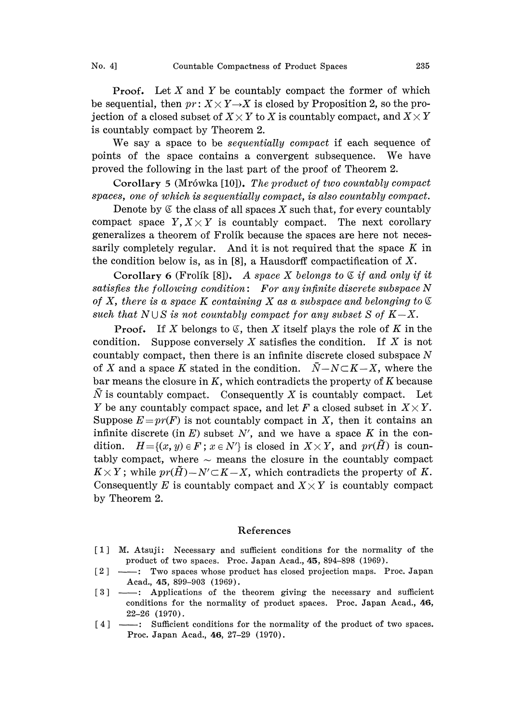**Proof.** Let X and Y be countably compact the former of which be sequential, then  $pr: X \times Y \rightarrow X$  is closed by Proposition 2, so the projection of a closed subset of  $X \times Y$  to X is countably compact, and  $X \times Y$ is countably compact by Theorem 2.

We say a space to be *sequentially compact* if each sequence of points of the space contains <sup>a</sup> convergent subsequence. We have proved the following in the last part of the proof of Theorem 2.

Corollary 5 (Mrówka [10]). The product of two countably compact spaces, one of which is sequentially compact, is also countably compact.

Denote by  $\mathfrak C$  the class of all spaces X such that, for every countably compact space  $Y, X \times Y$  is countably compact. The next corollary generalizes a theorem of Frolík because the spaces are here not necessarily completely regular. And it is not required that the space  $K$  in the condition below is, as in  $[8]$ , a Hausdorff compactification of X.

Corollary 6 (Frolik [8]). A space X belongs to  $\mathfrak C$  if and only if it satisfies the following condition: For any infinite discrete subspace  $N$ of X, there is a space K containing X as a subspace and belonging to  $\mathfrak C$ such that  $N \cup S$  is not countably compact for any subset S of  $K-X$ .

**Proof.** If X belongs to  $\mathfrak{C}$ , then X itself plays the role of K in the condition. Suppose conversely X satisfies the condition. If X is not countably compact, then there is an infinite discrete closed subspace N of X and a space K stated in the condition.  $\overline{N}-N\subset K-X$ , where the bar means the closure in  $K$ , which contradicts the property of  $K$  because  $\overline{N}$  is countably compact. Consequently X is countably compact. Let Y be any countably compact space, and let F a closed subset in  $X \times Y$ . Suppose  $E=pr(F)$  is not countably compact in X, then it contains an infinite discrete (in E) subset N', and we have a space K in the condition.  $H = \{(x, y) \in F : x \in N'\}$  is closed in  $X \times Y$ , and  $pr(H)$  is countably compact, where  $\sim$  means the closure in the countably compact  $K \times Y$ ; while  $pr(H) - N' \subset K - X$ , which contradicts the property of K. Consequently E is countably compact and  $X \times Y$  is countably compact by Theorem 2.

## References

- [1] M. Atsuji: Necessary and sufficient conditions for the normality of the product of two spaces. Proc. Japan Acad.,  $45$ ,  $894-898$  (1969).
- [2] Two spaces whose product has closed projection maps. Proc. Japan [2]  $\frac{1}{2}$   $\frac{1}{2}$   $\frac{1}{2}$   $\frac{1}{2}$   $\frac{1}{2}$   $\frac{1}{2}$   $\frac{1}{2}$   $\frac{1}{2}$   $\frac{1}{2}$   $\frac{1}{2}$   $\frac{1}{2}$   $\frac{1}{2}$   $\frac{1}{2}$   $\frac{1}{2}$   $\frac{1}{2}$   $\frac{1}{2}$   $\frac{1}{2}$   $\frac{1}{2}$   $\frac{1}{2}$   $\frac{1}{2}$   $\frac{1}{2}$   $\frac{1}{2$ Acad., 45, 899-903 (1969).
- conditions for the normality of product spaces. Proc. Japan Acad., 46, 22-26 (1970).
- [4] ----: Sufficient conditions for the normality of the product of two spaces. Proc. Japan Acad., 46, 27-29 (1970).